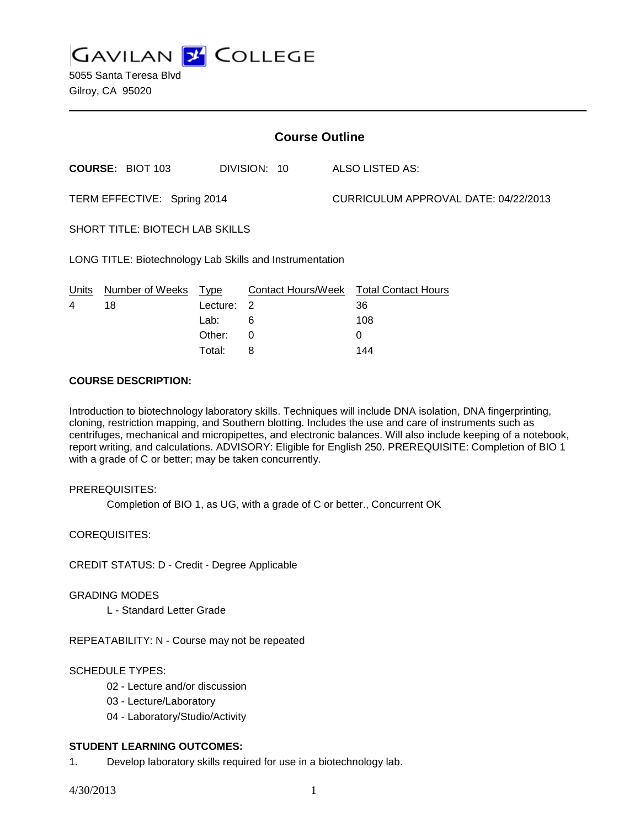**GAVILAN J COLLEGE** 

5055 Santa Teresa Blvd Gilroy, CA 95020

| <b>Course Outline</b>                                    |                                        |              |                                        |  |
|----------------------------------------------------------|----------------------------------------|--------------|----------------------------------------|--|
|                                                          |                                        |              | ALSO LISTED AS:                        |  |
| TERM EFFECTIVE: Spring 2014                              |                                        |              | CURRICULUM APPROVAL DATE: 04/22/2013   |  |
| <b>SHORT TITLE: BIOTECH LAB SKILLS</b>                   |                                        |              |                                        |  |
| LONG TITLE: Biotechnology Lab Skills and Instrumentation |                                        |              |                                        |  |
| Lecture:<br>Total:                                       | 2<br>6<br>0<br>8                       |              | 36<br>108<br>0<br>144                  |  |
|                                                          | Number of Weeks Type<br>Lab:<br>Other: | DIVISION: 10 | Contact Hours/Week Total Contact Hours |  |

### **COURSE DESCRIPTION:**

Introduction to biotechnology laboratory skills. Techniques will include DNA isolation, DNA fingerprinting, cloning, restriction mapping, and Southern blotting. Includes the use and care of instruments such as centrifuges, mechanical and micropipettes, and electronic balances. Will also include keeping of a notebook, report writing, and calculations. ADVISORY: Eligible for English 250. PREREQUISITE: Completion of BIO 1 with a grade of C or better; may be taken concurrently.

# PREREQUISITES:

Completion of BIO 1, as UG, with a grade of C or better., Concurrent OK

COREQUISITES:

CREDIT STATUS: D - Credit - Degree Applicable

### GRADING MODES

L - Standard Letter Grade

REPEATABILITY: N - Course may not be repeated

# SCHEDULE TYPES:

- 02 Lecture and/or discussion
- 03 Lecture/Laboratory
- 04 Laboratory/Studio/Activity

# **STUDENT LEARNING OUTCOMES:**

1. Develop laboratory skills required for use in a biotechnology lab.

4/30/2013 1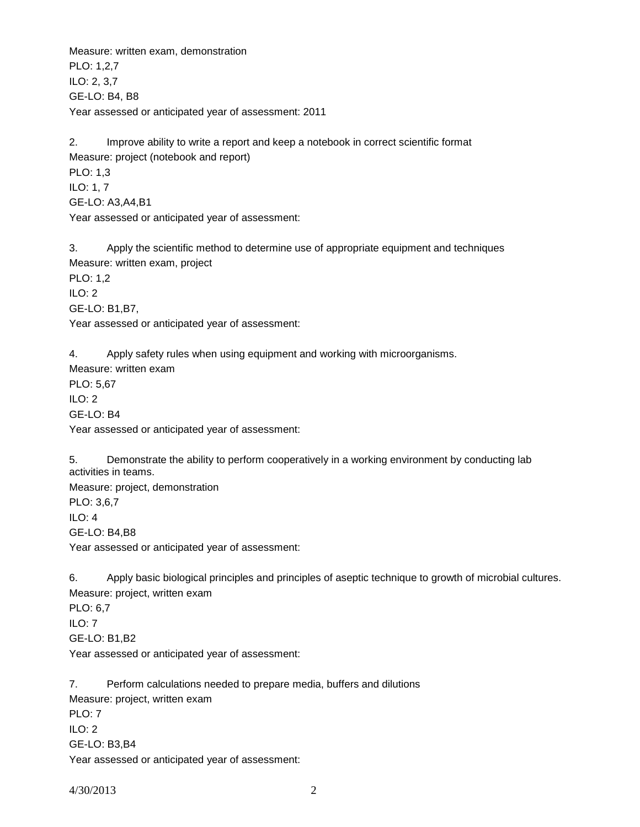Measure: written exam, demonstration PLO: 1,2,7 ILO: 2, 3,7 GE-LO: B4, B8 Year assessed or anticipated year of assessment: 2011

2. Improve ability to write a report and keep a notebook in correct scientific format Measure: project (notebook and report) PLO: 1,3 ILO: 1, 7 GE-LO: A3,A4,B1 Year assessed or anticipated year of assessment:

3. Apply the scientific method to determine use of appropriate equipment and techniques Measure: written exam, project PLO: 1,2 ILO: 2 GE-LO: B1,B7, Year assessed or anticipated year of assessment:

4. Apply safety rules when using equipment and working with microorganisms. Measure: written exam PLO: 5,67 ILO: 2 GE-LO: B4 Year assessed or anticipated year of assessment:

5. Demonstrate the ability to perform cooperatively in a working environment by conducting lab activities in teams.

Measure: project, demonstration PLO: 3,6,7 ILO: 4 GE-LO: B4,B8 Year assessed or anticipated year of assessment:

6. Apply basic biological principles and principles of aseptic technique to growth of microbial cultures. Measure: project, written exam PLO: 6,7

ILO: 7 GE-LO: B1,B2 Year assessed or anticipated year of assessment:

7. Perform calculations needed to prepare media, buffers and dilutions Measure: project, written exam PLO: 7 ILO: 2 GE-LO: B3,B4 Year assessed or anticipated year of assessment: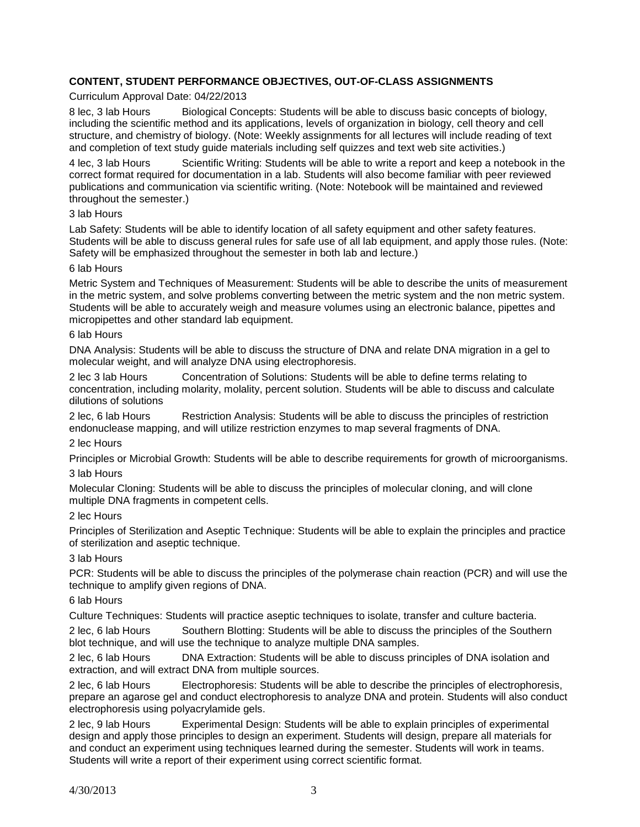# **CONTENT, STUDENT PERFORMANCE OBJECTIVES, OUT-OF-CLASS ASSIGNMENTS**

### Curriculum Approval Date: 04/22/2013

8 lec, 3 lab Hours Biological Concepts: Students will be able to discuss basic concepts of biology, including the scientific method and its applications, levels of organization in biology, cell theory and cell structure, and chemistry of biology. (Note: Weekly assignments for all lectures will include reading of text and completion of text study guide materials including self quizzes and text web site activities.)

4 lec, 3 lab Hours Scientific Writing: Students will be able to write a report and keep a notebook in the correct format required for documentation in a lab. Students will also become familiar with peer reviewed publications and communication via scientific writing. (Note: Notebook will be maintained and reviewed throughout the semester.)

### 3 lab Hours

Lab Safety: Students will be able to identify location of all safety equipment and other safety features. Students will be able to discuss general rules for safe use of all lab equipment, and apply those rules. (Note: Safety will be emphasized throughout the semester in both lab and lecture.)

#### 6 lab Hours

Metric System and Techniques of Measurement: Students will be able to describe the units of measurement in the metric system, and solve problems converting between the metric system and the non metric system. Students will be able to accurately weigh and measure volumes using an electronic balance, pipettes and micropipettes and other standard lab equipment.

#### 6 lab Hours

DNA Analysis: Students will be able to discuss the structure of DNA and relate DNA migration in a gel to molecular weight, and will analyze DNA using electrophoresis.

2 lec 3 lab Hours Concentration of Solutions: Students will be able to define terms relating to concentration, including molarity, molality, percent solution. Students will be able to discuss and calculate dilutions of solutions

2 lec, 6 lab Hours Restriction Analysis: Students will be able to discuss the principles of restriction endonuclease mapping, and will utilize restriction enzymes to map several fragments of DNA.

### 2 lec Hours

Principles or Microbial Growth: Students will be able to describe requirements for growth of microorganisms.

### 3 lab Hours

Molecular Cloning: Students will be able to discuss the principles of molecular cloning, and will clone multiple DNA fragments in competent cells.

### 2 lec Hours

Principles of Sterilization and Aseptic Technique: Students will be able to explain the principles and practice of sterilization and aseptic technique.

### 3 lab Hours

PCR: Students will be able to discuss the principles of the polymerase chain reaction (PCR) and will use the technique to amplify given regions of DNA.

### 6 lab Hours

Culture Techniques: Students will practice aseptic techniques to isolate, transfer and culture bacteria.

2 lec, 6 lab Hours Southern Blotting: Students will be able to discuss the principles of the Southern blot technique, and will use the technique to analyze multiple DNA samples.

2 lec, 6 lab Hours DNA Extraction: Students will be able to discuss principles of DNA isolation and extraction, and will extract DNA from multiple sources.

2 lec, 6 lab Hours Electrophoresis: Students will be able to describe the principles of electrophoresis, prepare an agarose gel and conduct electrophoresis to analyze DNA and protein. Students will also conduct electrophoresis using polyacrylamide gels.

2 lec, 9 lab Hours Experimental Design: Students will be able to explain principles of experimental design and apply those principles to design an experiment. Students will design, prepare all materials for and conduct an experiment using techniques learned during the semester. Students will work in teams. Students will write a report of their experiment using correct scientific format.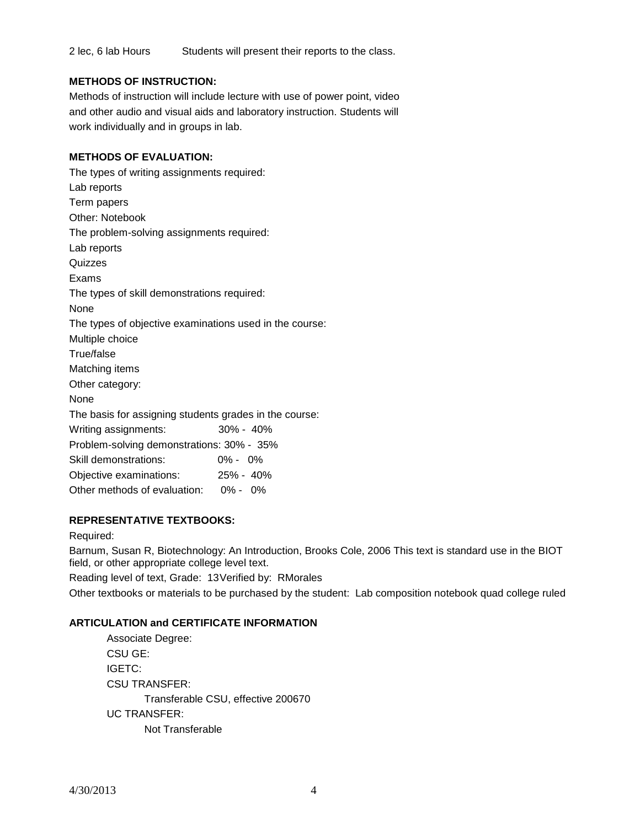2 lec, 6 lab Hours Students will present their reports to the class.

# **METHODS OF INSTRUCTION:**

Methods of instruction will include lecture with use of power point, video and other audio and visual aids and laboratory instruction. Students will work individually and in groups in lab.

# **METHODS OF EVALUATION:**

The types of writing assignments required: Lab reports Term papers Other: Notebook The problem-solving assignments required: Lab reports **Quizzes** Exams The types of skill demonstrations required: None The types of objective examinations used in the course: Multiple choice True/false Matching items Other category: None The basis for assigning students grades in the course: Writing assignments: 30% - 40% Problem-solving demonstrations: 30% - 35% Skill demonstrations: 0% - 0% Objective examinations: 25% - 40% Other methods of evaluation: 0% - 0%

# **REPRESENTATIVE TEXTBOOKS:**

### Required:

Barnum, Susan R, Biotechnology: An Introduction, Brooks Cole, 2006 This text is standard use in the BIOT field, or other appropriate college level text.

Reading level of text, Grade: 13Verified by: RMorales Other textbooks or materials to be purchased by the student: Lab composition notebook quad college ruled

# **ARTICULATION and CERTIFICATE INFORMATION**

Associate Degree: CSU GE: IGETC: CSU TRANSFER: Transferable CSU, effective 200670 UC TRANSFER: Not Transferable